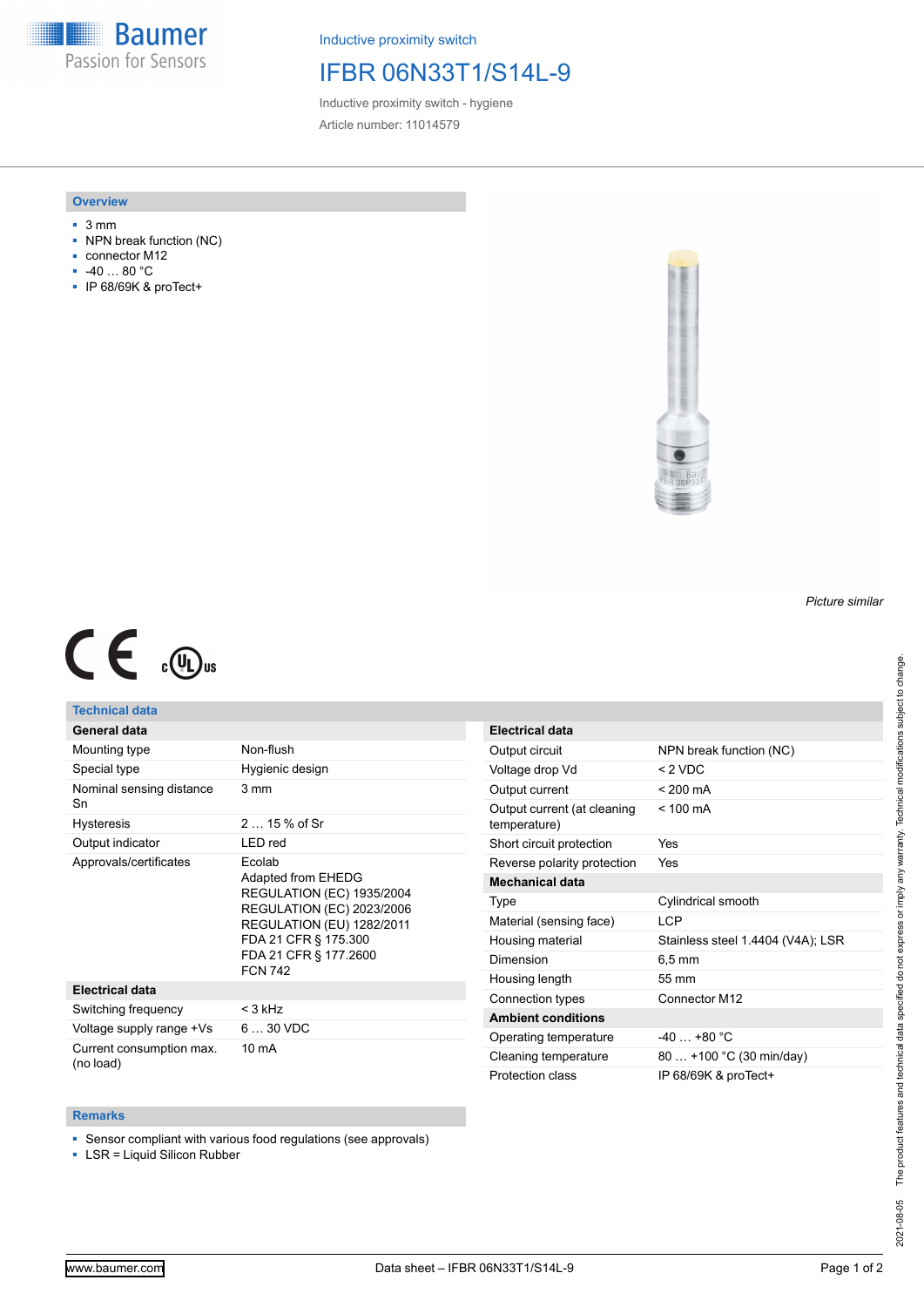**Baumer** Passion for Sensors

Inductive proximity switch

# IFBR 06N33T1/S14L-9

Inductive proximity switch - hygiene Article number: 11014579

#### **Overview**

- 3 mm
- NPN break function (NC)
- connector M12
- -40 … 80 °C
- IP 68/69K & proTect+



# $C \in \mathbb{C}$

### **Technical data**

## **General data**

| Mounting type                         | Non-flush                                                                                                                                                                                                   |
|---------------------------------------|-------------------------------------------------------------------------------------------------------------------------------------------------------------------------------------------------------------|
| Special type                          | Hygienic design                                                                                                                                                                                             |
| Nominal sensing distance<br>Sn        | 3 mm                                                                                                                                                                                                        |
| <b>Hysteresis</b>                     | $215%$ of Sr                                                                                                                                                                                                |
| Output indicator                      | LED red                                                                                                                                                                                                     |
| Approvals/certificates                | Ecolab<br>Adapted from EHEDG<br><b>REGULATION (EC) 1935/2004</b><br><b>REGULATION (EC) 2023/2006</b><br><b>REGULATION (EU) 1282/2011</b><br>FDA 21 CFR § 175.300<br>FDA 21 CFR § 177.2600<br><b>FCN 742</b> |
| <b>Electrical data</b>                |                                                                                                                                                                                                             |
| Switching frequency                   | < 3 kHz                                                                                                                                                                                                     |
| Voltage supply range +Vs              | $630$ VDC                                                                                                                                                                                                   |
| Current consumption max.<br>(no load) | $10 \text{ mA}$                                                                                                                                                                                             |

| <b>Electrical data</b>                      |                                   |
|---------------------------------------------|-----------------------------------|
| Output circuit                              | NPN break function (NC)           |
| Voltage drop Vd                             | < 2 VDC                           |
| Output current                              | $< 200 \text{ mA}$                |
| Output current (at cleaning<br>temperature) | $< 100 \text{ mA}$                |
| Short circuit protection                    | Yes                               |
| Reverse polarity protection                 | Yes                               |
| <b>Mechanical data</b>                      |                                   |
| Type                                        | Cylindrical smooth                |
| Material (sensing face)                     | I CP                              |
| Housing material                            | Stainless steel 1.4404 (V4A); LSR |
| Dimension                                   | 6.5 mm                            |
| Housing length                              | 55 mm                             |
| Connection types                            | Connector M12                     |
| <b>Ambient conditions</b>                   |                                   |
| Operating temperature                       | $-40 + 80 °C$                     |
| Cleaning temperature                        | 80  +100 °C (30 min/day)          |
| Protection class                            | IP 68/69K & proTect+              |

#### **Remarks**

■ Sensor compliant with various food regulations (see approvals)

■ LSR = Liquid Silicon Rubber

*Picture similar*